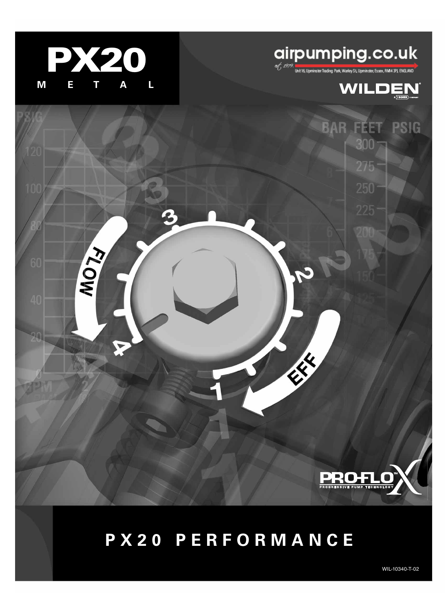

**KOW** 

# **airpumping.co.uk**

**BAR FEET** 

 $300 -$ 

 $275 -$ 

225

**SERVICE RE** 



**PSIG** 



WIL-10340-T-02

ROGRESSIVE PUMP TECHNOLO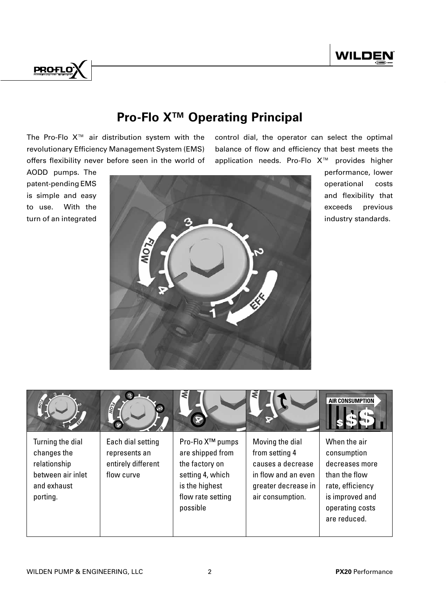

# **Pro-Flo XTM Operating Principal**

The Pro-Flo X™ air distribution system with the revolutionary Efficiency Management System (EMS) offers flexibility never before seen in the world of control dial, the operator can select the optimal balance of flow and efficiency that best meets the application needs. Pro-Flo X™ provides higher



performance, lower operational costs and flexibility that exceeds previous industry standards.

|                                                                                                 | <b>VOIA</b>                                                            | ₹<br>œ                                                                                                                                    | ₹                                                                                                                        | <b>AIR CONSUMPTION</b>                                                                                                                   |
|-------------------------------------------------------------------------------------------------|------------------------------------------------------------------------|-------------------------------------------------------------------------------------------------------------------------------------------|--------------------------------------------------------------------------------------------------------------------------|------------------------------------------------------------------------------------------------------------------------------------------|
| Turning the dial<br>changes the<br>relationship<br>between air inlet<br>and exhaust<br>porting. | Each dial setting<br>represents an<br>entirely different<br>flow curve | Pro-Flo X <sup>™</sup> pumps<br>are shipped from<br>the factory on<br>setting 4, which<br>is the highest<br>flow rate setting<br>possible | Moving the dial<br>from setting 4<br>causes a decrease<br>in flow and an even<br>greater decrease in<br>air consumption. | When the air<br>consumption<br>decreases more<br>than the flow<br>rate, efficiency<br>is improved and<br>operating costs<br>are reduced. |

AODD pumps. The patent-pending EMS is simple and easy to use. With the turn of an integrated

**PROFLO**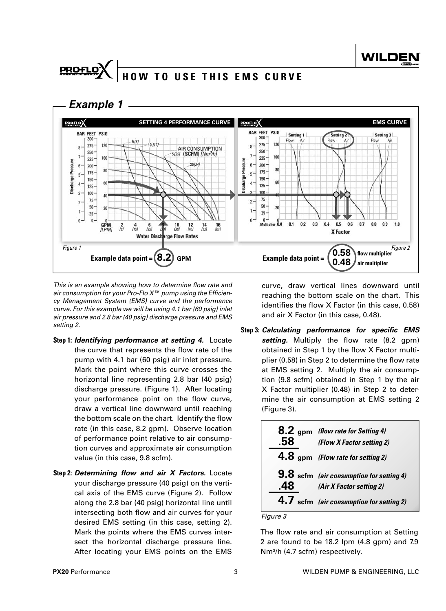# **HOW TO USE THIS EMS CURVE**



This is an example showing how to determine flow rate and air consumption for your Pro-Flo  $X^{\scriptscriptstyle \text{TM}}$  pump using the Efficiency Management System (EMS) curve and the performance curve. For this example we will be using 4.1 bar (60 psig) inlet air pressure and 2.8 bar (40 psig) discharge pressure and EMS setting 2.

- **Step 1:** *Identifying performance at setting 4.* Locate the curve that represents the flow rate of the pump with 4.1 bar (60 psig) air inlet pressure. Mark the point where this curve crosses the horizontal line representing 2.8 bar (40 psig) discharge pressure. (Figure 1). After locating your performance point on the flow curve, draw a vertical line downward until reaching the bottom scale on the chart. Identify the flow rate (in this case, 8.2 gpm). Observe location of performance point relative to air consumption curves and approximate air consumption value (in this case, 9.8 scfm).
- **Step 2:** *Determining flow and air X Factors.* Locate your discharge pressure (40 psig) on the vertical axis of the EMS curve (Figure 2). Follow along the 2.8 bar (40 psig) horizontal line until intersecting both flow and air curves for your desired EMS setting (in this case, setting 2). Mark the points where the EMS curves intersect the horizontal discharge pressure line. After locating your EMS points on the EMS

curve, draw vertical lines downward until reaching the bottom scale on the chart. This identifies the flow  $X$  Factor (in this case, 0.58) and air X Factor (in this case, 0.48).

**Step 3:** *Calculating performance for specific EMS*  setting. Multiply the flow rate (8.2 gpm) obtained in Step 1 by the flow X Factor multiplier (0.58) in Step 2 to determine the flow rate at EMS setting 2. Multiply the air consumption (9.8 scfm) obtained in Step 1 by the air X Factor multiplier (0.48) in Step 2 to determine the air consumption at EMS setting 2 (Figure 3).

| 8.2 gpm (flow rate for Setting 4)<br>(Flow X Factor setting 2)              |
|-----------------------------------------------------------------------------|
| 4.8 gpm (Flow rate for setting 2)                                           |
| <b>9.8</b> scfm (air consumption for setting 4)<br>(Air X Factor setting 2) |
| 4.7 scfm (air consumption for setting 2)                                    |

Figure 3

The flow rate and air consumption at Setting 2 are found to be 18.2 lpm (4.8 gpm) and 7.9 Nm<sup>3</sup> /h (4.7 scfm) respectively.

**PROFLO**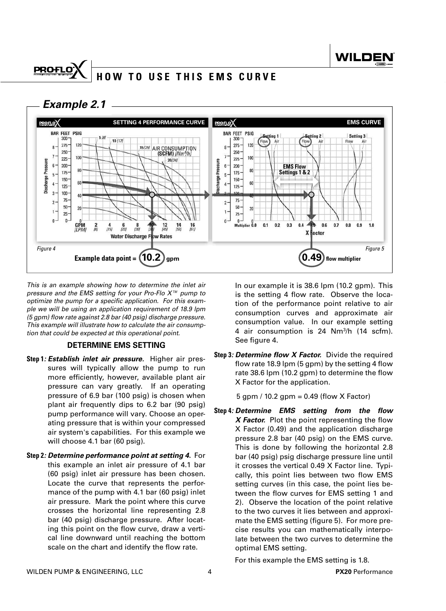## **PROFLO HOW TO USE THIS EMS CURVE**

 *Example 2.1*



This is an example showing how to determine the inlet air pressure and the EMS setting for your Pro-Flo X<sup>™</sup> pump to optimize the pump for a specific application. For this example we will be using an application requirement of 18.9 lpm  $(5$  gpm) flow rate against 2.8 bar (40 psig) discharge pressure. This example will illustrate how to calculate the air consumption that could be expected at this operational point.

### **DETERMINE EMS SETTING**

- **Step 1***: Establish inlet air pressure.* Higher air pressures will typically allow the pump to run more efficiently, however, available plant air pressure can vary greatly. If an operating pressure of 6.9 bar (100 psig) is chosen when plant air frequently dips to 6.2 bar (90 psig) pump performance will vary. Choose an operating pressure that is within your compressed air system's capabilities. For this example we will choose 4.1 bar (60 psig).
- **Step 2***: Determine performance point at setting 4.* For this example an inlet air pressure of 4.1 bar (60 psig) inlet air pressure has been chosen. Locate the curve that represents the performance of the pump with 4.1 bar (60 psig) inlet air pressure. Mark the point where this curve crosses the horizontal line representing 2.8 bar (40 psig) discharge pressure. After locating this point on the flow curve, draw a vertical line downward until reaching the bottom scale on the chart and identify the flow rate.

 In our example it is 38.6 lpm (10.2 gpm). This is the setting 4 flow rate. Observe the location of the performance point relative to air consumption curves and approximate air consumption value. In our example setting 4 air consumption is 24 Nm<sup>3</sup> /h (14 scfm). See figure 4.

**Step 3***: Determine flow X Factor.* Divide the required flow rate 18.9 lpm  $(5 \text{ gpm})$  by the setting 4 flow rate 38.6 lpm (10.2 gpm) to determine the flow X Factor for the application.

5 gpm / 10.2 gpm = 0.49 (flow X Factor)

**Step 4***: Determine EMS setting from the flow X Factor.* Plot the point representing the flow X Factor (0.49) and the application discharge pressure 2.8 bar (40 psig) on the EMS curve. This is done by following the horizontal 2.8 bar (40 psig) psig discharge pressure line until it crosses the vertical 0.49 X Factor line. Typically, this point lies between two flow EMS setting curves (in this case, the point lies between the flow curves for EMS setting 1 and 2). Observe the location of the point relative to the two curves it lies between and approximate the EMS setting (figure 5). For more precise results you can mathematically interpolate between the two curves to determine the optimal EMS setting.

For this example the EMS setting is 1.8.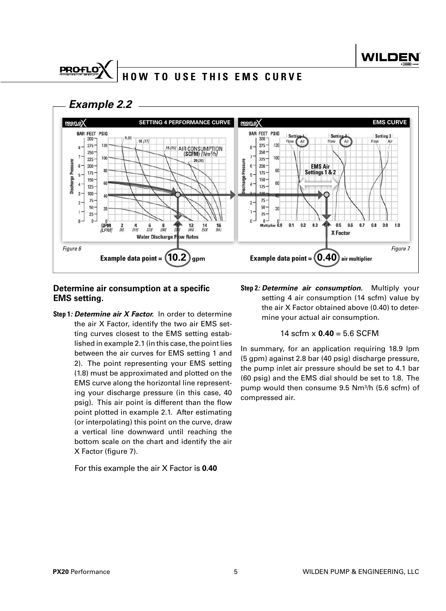# **HOW TO USE THIS EMS CURVE**



**PROFLO** 



### **Determine air consumption at a specific EMS setting.**

**Step 1***: Determine air X Factor.* In order to determine the air X Factor, identify the two air EMS setting curves closest to the EMS setting established in example 2.1 (in this case, the point lies between the air curves for EMS setting 1 and 2). The point representing your EMS setting (1.8) must be approximated and plotted on the EMS curve along the horizontal line representing your discharge pressure (in this case, 40 psig). This air point is different than the flow point plotted in example 2.1. After estimating (or interpolating) this point on the curve, draw a vertical line downward until reaching the bottom scale on the chart and identify the air X Factor (figure 7).

### For this example the air X Factor is **0.40**

**Step 2***: Determine air consumption.* Multiply your setting 4 air consumption (14 scfm) value by the air X Factor obtained above (0.40) to determine your actual air consumption.

### 14 scfm x **0.40** = 5.6 SCFM

In summary, for an application requiring 18.9 lpm (5 gpm) against 2.8 bar (40 psig) discharge pressure, the pump inlet air pressure should be set to 4.1 bar (60 psig) and the EMS dial should be set to 1.8. The pump would then consume 9.5 Nm<sup>3</sup> /h (5.6 scfm) of compressed air.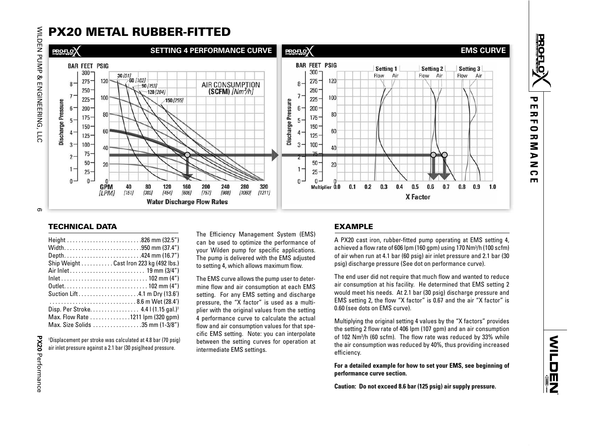

| Width950 mm (37.4")                             |
|-------------------------------------------------|
| Depth424 mm (16.7")                             |
|                                                 |
| Ship Weight Cast Iron 223 kg (492 lbs.)         |
| Air Inlet 19 mm (3/4")                          |
|                                                 |
|                                                 |
|                                                 |
|                                                 |
| Suction Lift4.1 m Dry (13.6')                   |
| 8.6 m Wet (28.4')                               |
|                                                 |
| Disp. Per Stroke 4.4   (1.15 gal.) <sup>1</sup> |
| Max. Flow Rate 1211 Ipm (320 gpm)               |
|                                                 |
| Max. Size Solids 35 mm (1-3/8")                 |

1Displacement per stroke was calculated at 4.8 bar (70 psig) air inlet pressure against a 2.1 bar (30 psig)head pressure.

The Efficiency Management System (EMS) can be used to optimize the performance of your Wilden pump for specific applications. The pump is delivered with the EMS adjusted to setting 4, which allows maximum flow.

The EMS curve allows the pump user to determine flow and air consumption at each EMS setting. For any EMS setting and discharge pressure, the "X factor" is used as a multiplier with the original values from the setting 4 performance curve to calculate the actual flow and air consumption values for that specific EMS setting. Note: you can interpolate between the setting curves for operation at intermediate EMS settings.

### EXAMPLE

A PX20 cast iron, rubber-fitted pump operating at EMS setting 4, achieved a flow rate of 606 lpm (160 gpm) using 170 Nm<sup>3</sup>/h (100 scfm) of air when run at 4.1 bar (60 psig) air inlet pressure and 2.1 bar (30 psig) discharge pressure (See dot on performance curve).

The end user did not require that much flow and wanted to reduce air consumption at his facility. He determined that EMS setting 2 would meet his needs. At 2.1 bar (30 psig) discharge pressure and EMS setting 2, the flow "X factor" is 0.67 and the air "X factor" is 0.60 (see dots on EMS curve).

Multiplying the original setting 4 values by the "X factors" provides the setting 2 flow rate of 406 lpm (107 gpm) and an air consumption of 102 Nm<sup>3</sup>/h (60 scfm). The flow rate was reduced by 33% while the air consumption was reduced by 40%, thus providing increased efficiency.

**For a detailed example for how to set your EMS, see beginning of performance curve section.**

**Caution: Do not exceed 8.6 bar (125 psig) air supply pressure.** 

**PERFORMANCE**

᠊ᢦ  $\blacksquare$  $\overline{\mathbf{z}}$  $\mathbf{r}$  $\bullet$  $\overline{\mathbf{z}}$ 3  $\blacktriangleright$  $\overline{\mathbf{z}}$  $\Omega$ m

**PROFLOT**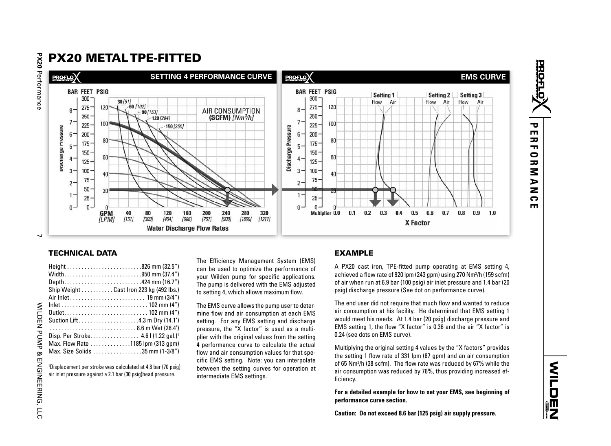

| Width950 mm (37.4")                                            |
|----------------------------------------------------------------|
| Depth424 mm (16.7")                                            |
| Ship Weight $\ldots \ldots \ldots$ Cast Iron 223 kg (492 lbs.) |
|                                                                |
|                                                                |
|                                                                |
| Suction Lift4.3 m Dry (14.1')                                  |
| 8.6 m Wet (28.4')                                              |
| Disp. Per Stroke 4.6   (1.22 gal.) <sup>1</sup>                |
| Max. Flow Rate 1185 lpm (313 qpm)                              |
| Max. Size Solids 35 mm (1-3/8")                                |

**PERFORMANCE**

᠊ᠣ  $\mathbf{m}$  $\overline{\mathbf{v}}$  $\mathbf{L}$  $\bullet$  $\overline{\mathbf{v}}$ ζ  $\triangleright$  $\overline{z}$  $\Omega$  $\blacksquare$ 

**PROFLOT**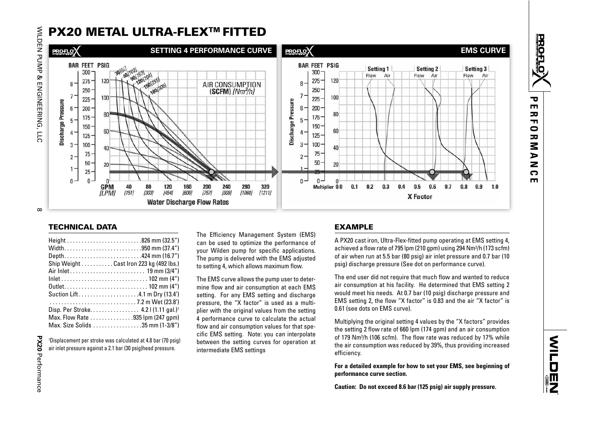

| Width950 mm (37.4")                             |
|-------------------------------------------------|
| Depth424 mm (16.7")                             |
| Ship Weight Cast Iron 223 kg (492 lbs.)         |
|                                                 |
|                                                 |
|                                                 |
| Suction Lift4.1 m Dry (13.4')                   |
|                                                 |
| Disp. Per Stroke 4.2   (1.11 gal.) <sup>1</sup> |
| Max. Flow Rate 935 lpm (247 gpm)                |
| Max. Size Solids 35 mm (1-3/8")                 |

1Displacement per stroke was calculated at 4.8 bar (70 psig) air inlet pressure against a 2.1 bar (30 psig)head pressure.

**PERFORMANCE**

᠊ᢦ  $\blacksquare$  $\overline{\mathbf{z}}$  $\mathbf{r}$  $\bullet$  $\overline{\mathbf{z}}$ 3  $\blacktriangleright$  $\overline{\mathbf{z}}$  $\mathbf{\Omega}$  $\mathbf{m}$ 

**PROFLOT**